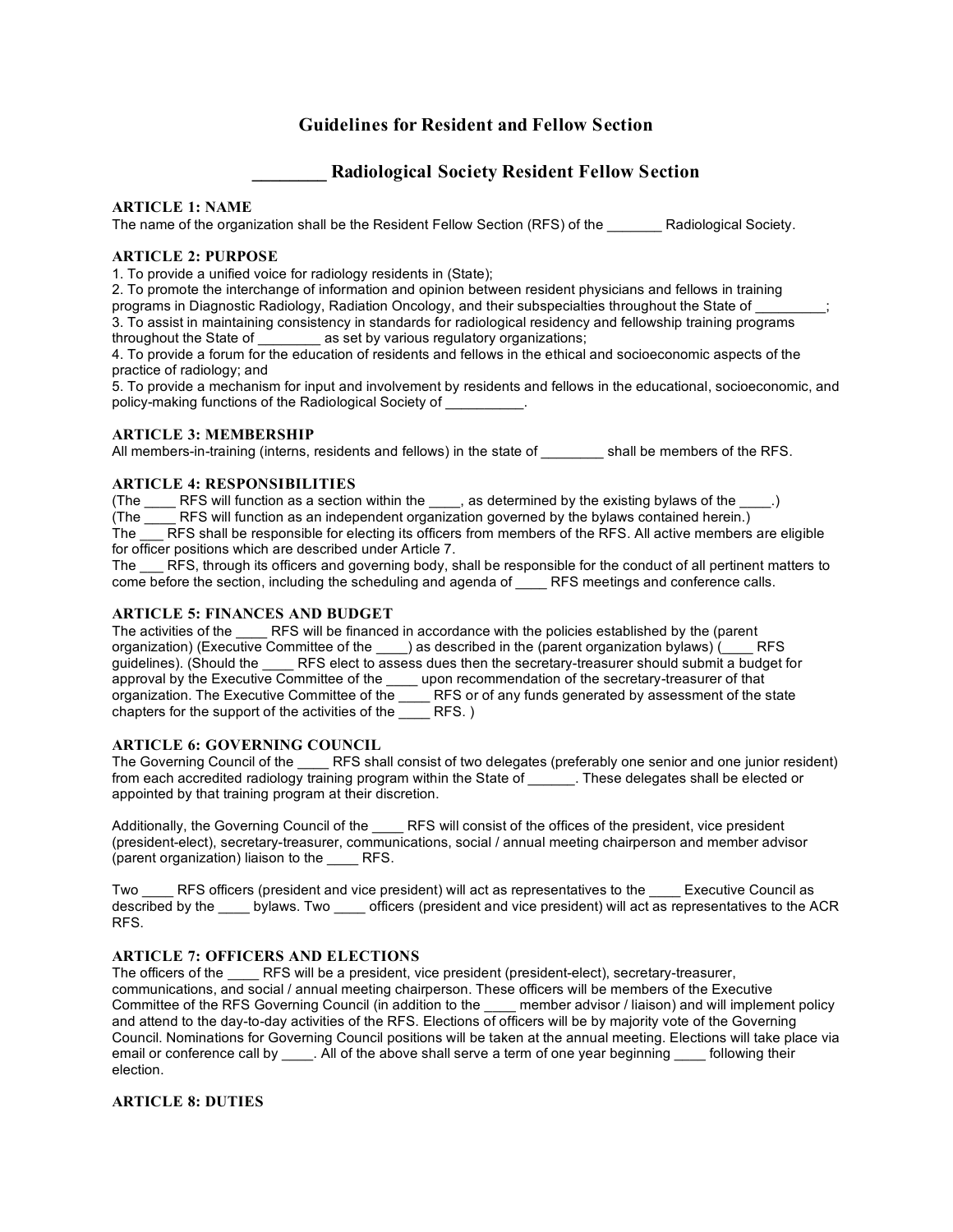# **Guidelines for Resident and Fellow Section**

# **\_\_\_\_\_\_\_\_ Radiological Society Resident Fellow Section**

# **ARTICLE 1: NAME**

The name of the organization shall be the Resident Fellow Section (RFS) of the Radiological Society.

# **ARTICLE 2: PURPOSE**

1. To provide a unified voice for radiology residents in (State);

2. To promote the interchange of information and opinion between resident physicians and fellows in training programs in Diagnostic Radiology, Radiation Oncology, and their subspecialties throughout the State of \_\_\_\_\_\_\_\_\_; 3. To assist in maintaining consistency in standards for radiological residency and fellowship training programs throughout the State of \_\_\_\_\_\_\_\_ as set by various regulatory organizations;

4. To provide a forum for the education of residents and fellows in the ethical and socioeconomic aspects of the practice of radiology; and

5. To provide a mechanism for input and involvement by residents and fellows in the educational, socioeconomic, and policy-making functions of the Radiological Society of

## **ARTICLE 3: MEMBERSHIP**

All members-in-training (interns, residents and fellows) in the state of all be members of the RFS.

## **ARTICLE 4: RESPONSIBILITIES**

(The  $\rule{1em}{0.15mm}$  RFS will function as a section within the  $\rule{1em}{0.15mm}$  as determined by the existing bylaws of the  $\rule{1em}{0.15mm}$ .) (The \_\_\_\_ RFS will function as an independent organization governed by the bylaws contained herein.) The **RFS** shall be responsible for electing its officers from members of the RFS. All active members are eligible

for officer positions which are described under Article 7. The RFS, through its officers and governing body, shall be responsible for the conduct of all pertinent matters to come before the section, including the scheduling and agenda of **COM** RFS meetings and conference calls.

## **ARTICLE 5: FINANCES AND BUDGET**

The activities of the **RFS** will be financed in accordance with the policies established by the (parent organization) (Executive Committee of the \_\_\_\_) as described in the (parent organization bylaws) (\_\_\_\_ RFS guidelines). (Should the \_\_\_\_\_ RFS elect to assess dues then the secretary-treasurer should submit a budget for approval by the Executive Committee of the \_\_\_\_ upon recommendation of the secretary-treasurer of that organization. The Executive Committee of the \_\_\_\_\_ RFS or of any funds generated by assessment of the state chapters for the support of the activities of the  $\overline{\phantom{a}}$  RFS. )

# **ARTICLE 6: GOVERNING COUNCIL**

The Governing Council of the \_\_\_\_\_ RFS shall consist of two delegates (preferably one senior and one junior resident) from each accredited radiology training program within the State of \_\_\_\_\_\_. These delegates shall be elected or appointed by that training program at their discretion.

Additionally, the Governing Council of the \_\_\_\_\_ RFS will consist of the offices of the president, vice president (president-elect), secretary-treasurer, communications, social / annual meeting chairperson and member advisor (parent organization) liaison to the \_\_\_\_ RFS.

Two RFS officers (president and vice president) will act as representatives to the Executive Council as described by the bylaws. Two officers (president and vice president) will act as representatives to the ACR RFS.

## **ARTICLE 7: OFFICERS AND ELECTIONS**

The officers of the **RFS** will be a president, vice president (president-elect), secretary-treasurer, communications, and social / annual meeting chairperson. These officers will be members of the Executive Committee of the RFS Governing Council (in addition to the member advisor / liaison) and will implement policy and attend to the day-to-day activities of the RFS. Elections of officers will be by majority vote of the Governing Council. Nominations for Governing Council positions will be taken at the annual meeting. Elections will take place via email or conference call by \_\_\_\_. All of the above shall serve a term of one year beginning \_\_\_\_ following their election.

# **ARTICLE 8: DUTIES**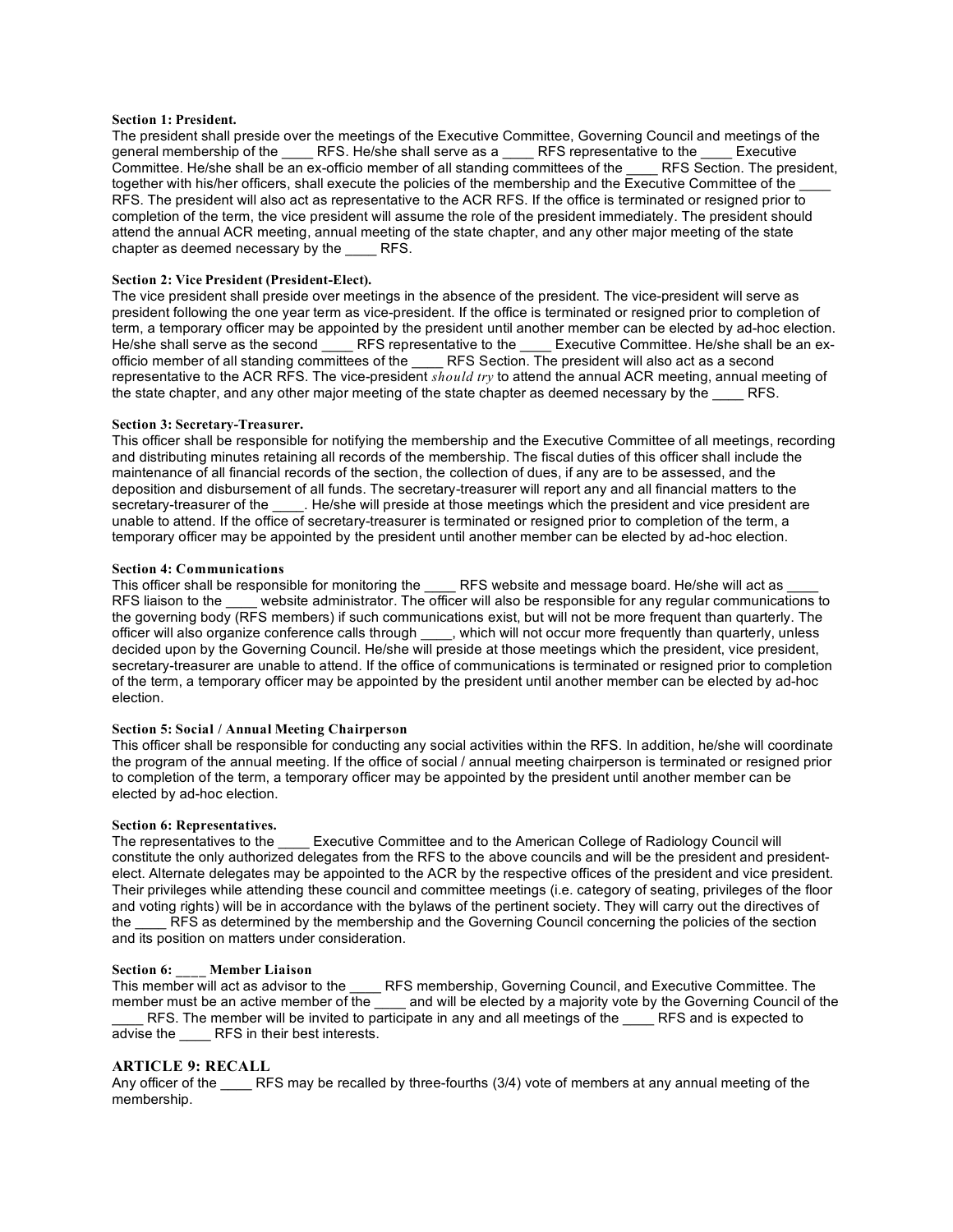#### **Section 1: President.**

The president shall preside over the meetings of the Executive Committee, Governing Council and meetings of the general membership of the \_\_\_\_\_ RFS. He/she shall serve as a \_\_\_\_\_\_ RFS representative to the \_\_\_\_\_ Executive Committee. He/she shall be an ex-officio member of all standing committees of the \_\_\_\_ RFS Section. The president, together with his/her officers, shall execute the policies of the membership and the Executive Committee of the RFS. The president will also act as representative to the ACR RFS. If the office is terminated or resigned prior to completion of the term, the vice president will assume the role of the president immediately. The president should attend the annual ACR meeting, annual meeting of the state chapter, and any other major meeting of the state chapter as deemed necessary by the RFS.

#### **Section 2: Vice President (President-Elect).**

The vice president shall preside over meetings in the absence of the president. The vice-president will serve as president following the one year term as vice-president. If the office is terminated or resigned prior to completion of term, a temporary officer may be appointed by the president until another member can be elected by ad-hoc election. He/she shall serve as the second RFS representative to the Executive Committee. He/she shall be an exofficio member of all standing committees of the RFS Section. The president will also act as a second representative to the ACR RFS. The vice-president *should try* to attend the annual ACR meeting, annual meeting of the state chapter, and any other major meeting of the state chapter as deemed necessary by the RFS.

#### **Section 3: Secretary-Treasurer.**

This officer shall be responsible for notifying the membership and the Executive Committee of all meetings, recording and distributing minutes retaining all records of the membership. The fiscal duties of this officer shall include the maintenance of all financial records of the section, the collection of dues, if any are to be assessed, and the deposition and disbursement of all funds. The secretary-treasurer will report any and all financial matters to the secretary-treasurer of the \_\_\_\_. He/she will preside at those meetings which the president and vice president are unable to attend. If the office of secretary-treasurer is terminated or resigned prior to completion of the term, a temporary officer may be appointed by the president until another member can be elected by ad-hoc election.

#### **Section 4: Communications**

This officer shall be responsible for monitoring the \_\_\_\_\_ RFS website and message board. He/she will act as RFS liaison to the website administrator. The officer will also be responsible for any regular communications to the governing body (RFS members) if such communications exist, but will not be more frequent than quarterly. The officer will also organize conference calls through \_\_\_\_, which will not occur more frequently than quarterly, unless decided upon by the Governing Council. He/she will preside at those meetings which the president, vice president, secretary-treasurer are unable to attend. If the office of communications is terminated or resigned prior to completion of the term, a temporary officer may be appointed by the president until another member can be elected by ad-hoc election.

#### **Section 5: Social / Annual Meeting Chairperson**

This officer shall be responsible for conducting any social activities within the RFS. In addition, he/she will coordinate the program of the annual meeting. If the office of social / annual meeting chairperson is terminated or resigned prior to completion of the term, a temporary officer may be appointed by the president until another member can be elected by ad-hoc election.

#### **Section 6: Representatives.**

The representatives to the Executive Committee and to the American College of Radiology Council will constitute the only authorized delegates from the RFS to the above councils and will be the president and presidentelect. Alternate delegates may be appointed to the ACR by the respective offices of the president and vice president. Their privileges while attending these council and committee meetings (i.e. category of seating, privileges of the floor and voting rights) will be in accordance with the bylaws of the pertinent society. They will carry out the directives of the LATS as determined by the membership and the Governing Council concerning the policies of the section and its position on matters under consideration.

## **Section 6: \_\_\_\_ Member Liaison**

This member will act as advisor to the \_\_\_\_ RFS membership, Governing Council, and Executive Committee. The member must be an active member of the \_\_\_\_\_ and will be elected by a majority vote by the Governing Council of the RFS. The member will be invited to participate in any and all meetings of the \_\_\_\_ RFS and is expected to advise the RFS in their best interests.

#### **ARTICLE 9: RECALL**

Any officer of the RFS may be recalled by three-fourths (3/4) vote of members at any annual meeting of the membership.